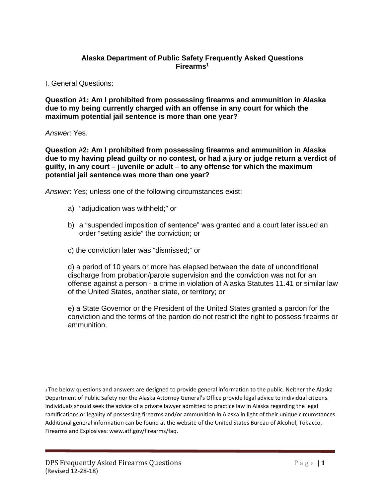## **Alaska Department of Public Safety Frequently Asked Questions Firearms1**

#### I. General Questions:

**Question #1: Am I prohibited from possessing firearms and ammunition in Alaska due to my being currently charged with an offense in any court for which the maximum potential jail sentence is more than one year?** 

## *Answer*: Yes.

**Question #2: Am I prohibited from possessing firearms and ammunition in Alaska due to my having plead guilty or no contest, or had a jury or judge return a verdict of guilty, in any court – juvenile or adult – to any offense for which the maximum potential jail sentence was more than one year?** 

*Answer*: Yes; unless one of the following circumstances exist:

- a) "adjudication was withheld;" or
- b) a "suspended imposition of sentence" was granted and a court later issued an order "setting aside" the conviction; or
- c) the conviction later was "dismissed;" or

d) a period of 10 years or more has elapsed between the date of unconditional discharge from probation/parole supervision and the conviction was not for an offense against a person - a crime in violation of Alaska Statutes 11.41 or similar law of the United States, another state, or territory; or

e) a State Governor or the President of the United States granted a pardon for the conviction and the terms of the pardon do not restrict the right to possess firearms or ammunition.

1 The below questions and answers are designed to provide general information to the public. Neither the Alaska Department of Public Safety nor the Alaska Attorney General's Office provide legal advice to individual citizens. Individuals should seek the advice of a private lawyer admitted to practice law in Alaska regarding the legal ramifications or legality of possessing firearms and/or ammunition in Alaska in light of their unique circumstances. Additional general information can be found at the website of the United States Bureau of Alcohol, Tobacco, Firearms and Explosives: www.atf.gov/firearms/faq.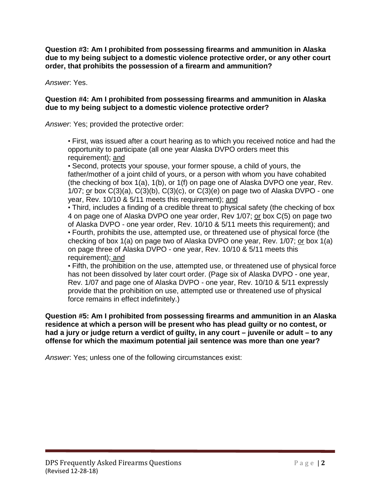**Question #3: Am I prohibited from possessing firearms and ammunition in Alaska due to my being subject to a domestic violence protective order, or any other court order, that prohibits the possession of a firearm and ammunition?** 

*Answer*: Yes.

# **Question #4: Am I prohibited from possessing firearms and ammunition in Alaska due to my being subject to a domestic violence protective order?**

*Answer*: Yes; provided the protective order:

• First, was issued after a court hearing as to which you received notice and had the opportunity to participate (all one year Alaska DVPO orders meet this requirement); and

• Second, protects your spouse, your former spouse, a child of yours, the father/mother of a joint child of yours, or a person with whom you have cohabited (the checking of box 1(a), 1(b), or 1(f) on page one of Alaska DVPO one year, Rev.  $1/07$ ; or box  $C(3)(a)$ ,  $C(3)(b)$ ,  $C(3)(c)$ , or  $C(3)(e)$  on page two of Alaska DVPO - one year, Rev. 10/10 & 5/11 meets this requirement); and

• Third, includes a finding of a credible threat to physical safety (the checking of box 4 on page one of Alaska DVPO one year order, Rev 1/07; or box C(5) on page two of Alaska DVPO - one year order, Rev. 10/10 & 5/11 meets this requirement); and • Fourth, prohibits the use, attempted use, or threatened use of physical force (the checking of box  $1(a)$  on page two of Alaska DVPO one year, Rev.  $1/07$ ; or box  $1(a)$ on page three of Alaska DVPO - one year, Rev. 10/10 & 5/11 meets this requirement); and

• Fifth, the prohibition on the use, attempted use, or threatened use of physical force has not been dissolved by later court order. (Page six of Alaska DVPO - one year, Rev. 1/07 and page one of Alaska DVPO - one year, Rev. 10/10 & 5/11 expressly provide that the prohibition on use, attempted use or threatened use of physical force remains in effect indefinitely.)

**Question #5: Am I prohibited from possessing firearms and ammunition in an Alaska residence at which a person will be present who has plead guilty or no contest, or had a jury or judge return a verdict of guilty, in any court – juvenile or adult – to any offense for which the maximum potential jail sentence was more than one year?** 

*Answer*: Yes; unless one of the following circumstances exist: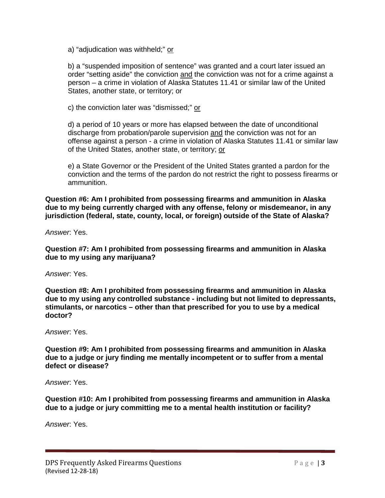a) "adjudication was withheld;" or

b) a "suspended imposition of sentence" was granted and a court later issued an order "setting aside" the conviction and the conviction was not for a crime against a person – a crime in violation of Alaska Statutes 11.41 or similar law of the United States, another state, or territory; or

c) the conviction later was "dismissed;" or

d) a period of 10 years or more has elapsed between the date of unconditional discharge from probation/parole supervision and the conviction was not for an offense against a person - a crime in violation of Alaska Statutes 11.41 or similar law of the United States, another state, or territory; or

e) a State Governor or the President of the United States granted a pardon for the conviction and the terms of the pardon do not restrict the right to possess firearms or ammunition.

**Question #6: Am I prohibited from possessing firearms and ammunition in Alaska due to my being currently charged with any offense, felony or misdemeanor, in any jurisdiction (federal, state, county, local, or foreign) outside of the State of Alaska?** 

*Answer*: Yes.

**Question #7: Am I prohibited from possessing firearms and ammunition in Alaska due to my using any marijuana?** 

*Answer*: Yes.

**Question #8: Am I prohibited from possessing firearms and ammunition in Alaska due to my using any controlled substance - including but not limited to depressants, stimulants, or narcotics – other than that prescribed for you to use by a medical doctor?** 

*Answer*: Yes.

**Question #9: Am I prohibited from possessing firearms and ammunition in Alaska due to a judge or jury finding me mentally incompetent or to suffer from a mental defect or disease?** 

*Answer*: Yes.

**Question #10: Am I prohibited from possessing firearms and ammunition in Alaska due to a judge or jury committing me to a mental health institution or facility?** 

*Answer*: Yes.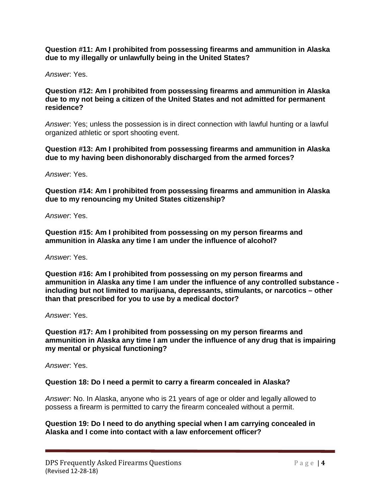**Question #11: Am I prohibited from possessing firearms and ammunition in Alaska due to my illegally or unlawfully being in the United States?** 

*Answer*: Yes.

#### **Question #12: Am I prohibited from possessing firearms and ammunition in Alaska due to my not being a citizen of the United States and not admitted for permanent residence?**

*Answer*: Yes; unless the possession is in direct connection with lawful hunting or a lawful organized athletic or sport shooting event.

## **Question #13: Am I prohibited from possessing firearms and ammunition in Alaska due to my having been dishonorably discharged from the armed forces?**

*Answer*: Yes.

**Question #14: Am I prohibited from possessing firearms and ammunition in Alaska due to my renouncing my United States citizenship?** 

*Answer*: Yes.

**Question #15: Am I prohibited from possessing on my person firearms and ammunition in Alaska any time I am under the influence of alcohol?** 

*Answer*: Yes.

**Question #16: Am I prohibited from possessing on my person firearms and ammunition in Alaska any time I am under the influence of any controlled substance including but not limited to marijuana, depressants, stimulants, or narcotics – other than that prescribed for you to use by a medical doctor?** 

*Answer*: Yes.

**Question #17: Am I prohibited from possessing on my person firearms and ammunition in Alaska any time I am under the influence of any drug that is impairing my mental or physical functioning?** 

*Answer*: Yes.

# **Question 18: Do I need a permit to carry a firearm concealed in Alaska?**

*Answer*: No. In Alaska, anyone who is 21 years of age or older and legally allowed to possess a firearm is permitted to carry the firearm concealed without a permit.

**Question 19: Do I need to do anything special when I am carrying concealed in Alaska and I come into contact with a law enforcement officer?**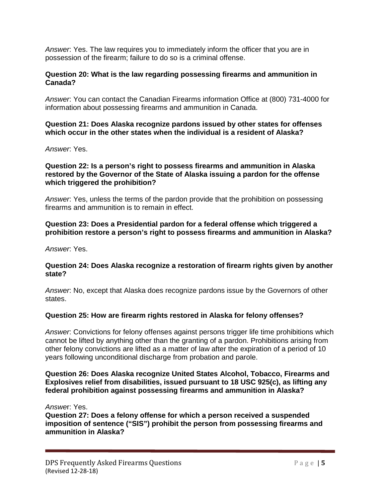*Answer*: Yes. The law requires you to immediately inform the officer that you are in possession of the firearm; failure to do so is a criminal offense.

# **Question 20: What is the law regarding possessing firearms and ammunition in Canada?**

*Answer*: You can contact the Canadian Firearms information Office at (800) 731-4000 for information about possessing firearms and ammunition in Canada.

## **Question 21: Does Alaska recognize pardons issued by other states for offenses which occur in the other states when the individual is a resident of Alaska?**

*Answer*: Yes.

#### **Question 22: Is a person's right to possess firearms and ammunition in Alaska restored by the Governor of the State of Alaska issuing a pardon for the offense which triggered the prohibition?**

*Answer*: Yes, unless the terms of the pardon provide that the prohibition on possessing firearms and ammunition is to remain in effect.

# **Question 23: Does a Presidential pardon for a federal offense which triggered a prohibition restore a person's right to possess firearms and ammunition in Alaska?**

*Answer*: Yes.

# **Question 24: Does Alaska recognize a restoration of firearm rights given by another state?**

*Answer*: No, except that Alaska does recognize pardons issue by the Governors of other states.

# **Question 25: How are firearm rights restored in Alaska for felony offenses?**

*Answer*: Convictions for felony offenses against persons trigger life time prohibitions which cannot be lifted by anything other than the granting of a pardon. Prohibitions arising from other felony convictions are lifted as a matter of law after the expiration of a period of 10 years following unconditional discharge from probation and parole.

## **Question 26: Does Alaska recognize United States Alcohol, Tobacco, Firearms and Explosives relief from disabilities, issued pursuant to 18 USC 925(c), as lifting any federal prohibition against possessing firearms and ammunition in Alaska?**

*Answe*r: Yes.

**Question 27: Does a felony offense for which a person received a suspended imposition of sentence ("SIS") prohibit the person from possessing firearms and ammunition in Alaska?**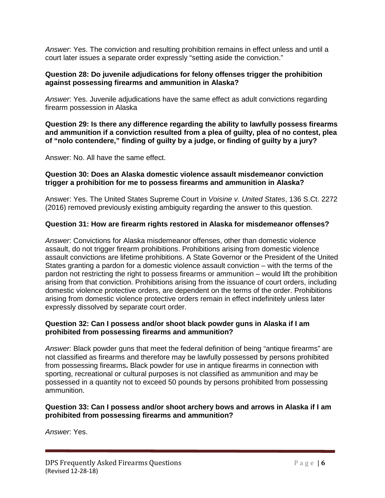*Answer*: Yes. The conviction and resulting prohibition remains in effect unless and until a court later issues a separate order expressly "setting aside the conviction."

# **Question 28: Do juvenile adjudications for felony offenses trigger the prohibition against possessing firearms and ammunition in Alaska?**

*Answer*: Yes. Juvenile adjudications have the same effect as adult convictions regarding firearm possession in Alaska

**Question 29: Is there any difference regarding the ability to lawfully possess firearms and ammunition if a conviction resulted from a plea of guilty, plea of no contest, plea of "nolo contendere," finding of guilty by a judge, or finding of guilty by a jury?** 

Answer: No. All have the same effect.

## **Question 30: Does an Alaska domestic violence assault misdemeanor conviction trigger a prohibition for me to possess firearms and ammunition in Alaska?**

Answer: Yes. The United States Supreme Court in *Voisine v. United States*, 136 S.Ct. 2272 (2016) removed previously existing ambiguity regarding the answer to this question.

# **Question 31: How are firearm rights restored in Alaska for misdemeanor offenses?**

*Answer*: Convictions for Alaska misdemeanor offenses, other than domestic violence assault, do not trigger firearm prohibitions. Prohibitions arising from domestic violence assault convictions are lifetime prohibitions. A State Governor or the President of the United States granting a pardon for a domestic violence assault conviction – with the terms of the pardon not restricting the right to possess firearms or ammunition – would lift the prohibition arising from that conviction. Prohibitions arising from the issuance of court orders, including domestic violence protective orders, are dependent on the terms of the order. Prohibitions arising from domestic violence protective orders remain in effect indefinitely unless later expressly dissolved by separate court order.

# **Question 32: Can I possess and/or shoot black powder guns in Alaska if I am prohibited from possessing firearms and ammunition?**

*Answer*: Black powder guns that meet the federal definition of being "antique firearms" are not classified as firearms and therefore may be lawfully possessed by persons prohibited from possessing firearms**.** Black powder for use in antique firearms in connection with sporting, recreational or cultural purposes is not classified as ammunition and may be possessed in a quantity not to exceed 50 pounds by persons prohibited from possessing ammunition.

# **Question 33: Can I possess and/or shoot archery bows and arrows in Alaska if I am prohibited from possessing firearms and ammunition?**

*Answer*: Yes.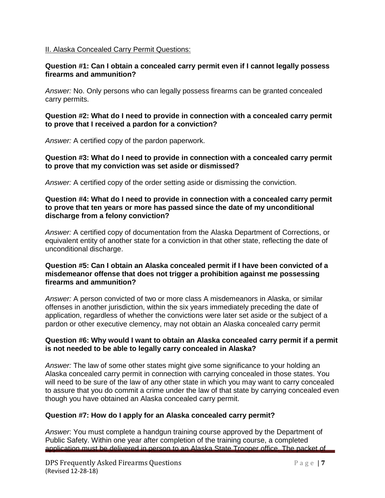#### II. Alaska Concealed Carry Permit Questions:

## **Question #1: Can I obtain a concealed carry permit even if I cannot legally possess firearms and ammunition?**

*Answer:* No. Only persons who can legally possess firearms can be granted concealed carry permits.

## **Question #2: What do I need to provide in connection with a concealed carry permit to prove that I received a pardon for a conviction?**

*Answer:* A certified copy of the pardon paperwork.

## **Question #3: What do I need to provide in connection with a concealed carry permit to prove that my conviction was set aside or dismissed?**

*Answer:* A certified copy of the order setting aside or dismissing the conviction.

## **Question #4: What do I need to provide in connection with a concealed carry permit to prove that ten years or more has passed since the date of my unconditional discharge from a felony conviction?**

*Answer:* A certified copy of documentation from the Alaska Department of Corrections, or equivalent entity of another state for a conviction in that other state, reflecting the date of unconditional discharge.

## **Question #5: Can I obtain an Alaska concealed permit if I have been convicted of a misdemeanor offense that does not trigger a prohibition against me possessing firearms and ammunition?**

*Answer:* A person convicted of two or more class A misdemeanors in Alaska, or similar offenses in another jurisdiction, within the six years immediately preceding the date of application, regardless of whether the convictions were later set aside or the subject of a pardon or other executive clemency, may not obtain an Alaska concealed carry permit

## **Question #6: Why would I want to obtain an Alaska concealed carry permit if a permit is not needed to be able to legally carry concealed in Alaska?**

*Answer:* The law of some other states might give some significance to your holding an Alaska concealed carry permit in connection with carrying concealed in those states. You will need to be sure of the law of any other state in which you may want to carry concealed to assure that you do commit a crime under the law of that state by carrying concealed even though you have obtained an Alaska concealed carry permit.

# **Question #7: How do I apply for an Alaska concealed carry permit?**

*Answer*: You must complete a handgun training course approved by the Department of Public Safety. Within one year after completion of the training course, a completed application must be delivered in person to an Alaska State Trooper office. The packet of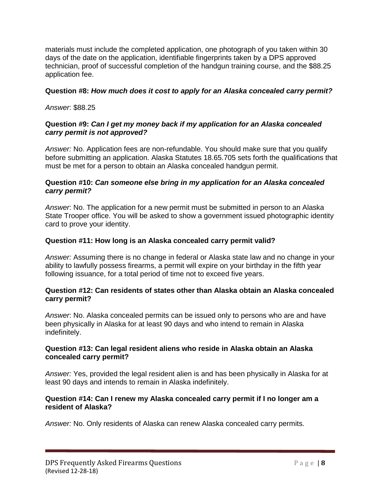materials must include the completed application, one photograph of you taken within 30 days of the date on the application, identifiable fingerprints taken by a DPS approved technician, proof of successful completion of the handgun training course, and the \$88.25 application fee.

## **Question #8:** *How much does it cost to apply for an Alaska concealed carry permit?*

*Answer*: \$88.25

## **Question #9:** *Can I get my money back if my application for an Alaska concealed carry permit is not approved?*

*Answer:* No. Application fees are non-refundable. You should make sure that you qualify before submitting an application. Alaska Statutes 18.65.705 sets forth the qualifications that must be met for a person to obtain an Alaska concealed handgun permit.

## **Question #10:** *Can someone else bring in my application for an Alaska concealed carry permit?*

*Answer*: No. The application for a new permit must be submitted in person to an Alaska State Trooper office. You will be asked to show a government issued photographic identity card to prove your identity.

# **Question #11: How long is an Alaska concealed carry permit valid?**

*Answer:* Assuming there is no change in federal or Alaska state law and no change in your ability to lawfully possess firearms, a permit will expire on your birthday in the fifth year following issuance, for a total period of time not to exceed five years.

## **Question #12: Can residents of states other than Alaska obtain an Alaska concealed carry permit?**

*Answer*: No. Alaska concealed permits can be issued only to persons who are and have been physically in Alaska for at least 90 days and who intend to remain in Alaska indefinitely.

## **Question #13: Can legal resident aliens who reside in Alaska obtain an Alaska concealed carry permit?**

*Answer:* Yes, provided the legal resident alien is and has been physically in Alaska for at least 90 days and intends to remain in Alaska indefinitely.

#### **Question #14: Can I renew my Alaska concealed carry permit if I no longer am a resident of Alaska?**

*Answer:* No. Only residents of Alaska can renew Alaska concealed carry permits.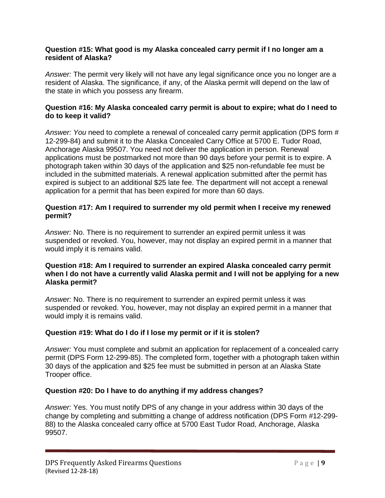## **Question #15: What good is my Alaska concealed carry permit if I no longer am a resident of Alaska?**

*Answer:* The permit very likely will not have any legal significance once you no longer are a resident of Alaska. The significance, if any, of the Alaska permit will depend on the law of the state in which you possess any firearm.

# **Question #16: My Alaska concealed carry permit is about to expire; what do I need to do to keep it valid?**

*Answer: You* need to *c*omplete a renewal of concealed carry permit application (DPS form # 12-299-84) and submit it to the Alaska Concealed Carry Office at 5700 E. Tudor Road, Anchorage Alaska 99507. You need not deliver the application in person. Renewal applications must be postmarked not more than 90 days before your permit is to expire. A photograph taken within 30 days of the application and \$25 non-refundable fee must be included in the submitted materials. A renewal application submitted after the permit has expired is subject to an additional \$25 late fee. The department will not accept a renewal application for a permit that has been expired for more than 60 days.

## **Question #17: Am I required to surrender my old permit when I receive my renewed permit?**

*Answer:* No. There is no requirement to surrender an expired permit unless it was suspended or revoked. You, however, may not display an expired permit in a manner that would imply it is remains valid.

# **Question #18: Am I required to surrender an expired Alaska concealed carry permit when I do not have a currently valid Alaska permit and I will not be applying for a new Alaska permit?**

*Answer:* No. There is no requirement to surrender an expired permit unless it was suspended or revoked. You, however, may not display an expired permit in a manner that would imply it is remains valid.

# **Question #19: What do I do if I lose my permit or if it is stolen?**

*Answer:* You must complete and submit an application for replacement of a concealed carry permit (DPS Form 12-299-85). The completed form, together with a photograph taken within 30 days of the application and \$25 fee must be submitted in person at an Alaska State Trooper office.

# **Question #20: Do I have to do anything if my address changes?**

*Answer:* Yes. You must notify DPS of any change in your address within 30 days of the change by completing and submitting a change of address notification (DPS Form #12-299- 88) to the Alaska concealed carry office at 5700 East Tudor Road, Anchorage, Alaska 99507.